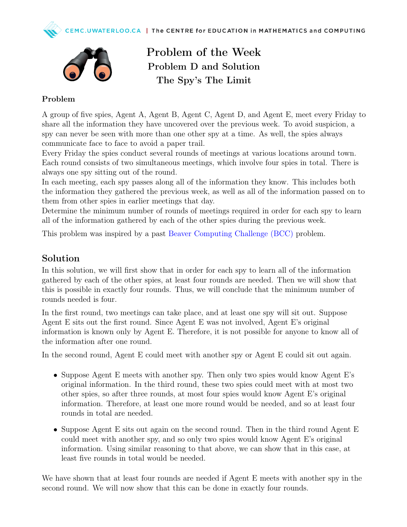



Problem of the Week Problem D and Solution The Spy's The Limit

## Problem

A group of five spies, Agent A, Agent B, Agent C, Agent D, and Agent E, meet every Friday to share all the information they have uncovered over the previous week. To avoid suspicion, a spy can never be seen with more than one other spy at a time. As well, the spies always communicate face to face to avoid a paper trail.

Every Friday the spies conduct several rounds of meetings at various locations around town. Each round consists of two simultaneous meetings, which involve four spies in total. There is always one spy sitting out of the round.

In each meeting, each spy passes along all of the information they know. This includes both the information they gathered the previous week, as well as all of the information passed on to them from other spies in earlier meetings that day.

Determine the minimum number of rounds of meetings required in order for each spy to learn all of the information gathered by each of the other spies during the previous week.

This problem was inspired by a past [Beaver Computing Challenge \(BCC\)](https://www.cemc.uwaterloo.ca/contests/bcc.html) problem.

## Solution

In this solution, we will first show that in order for each spy to learn all of the information gathered by each of the other spies, at least four rounds are needed. Then we will show that this is possible in exactly four rounds. Thus, we will conclude that the minimum number of rounds needed is four.

In the first round, two meetings can take place, and at least one spy will sit out. Suppose Agent E sits out the first round. Since Agent E was not involved, Agent E's original information is known only by Agent E. Therefore, it is not possible for anyone to know all of the information after one round.

In the second round, Agent E could meet with another spy or Agent E could sit out again.

- Suppose Agent E meets with another spy. Then only two spies would know Agent E's original information. In the third round, these two spies could meet with at most two other spies, so after three rounds, at most four spies would know Agent E's original information. Therefore, at least one more round would be needed, and so at least four rounds in total are needed.
- Suppose Agent E sits out again on the second round. Then in the third round Agent E could meet with another spy, and so only two spies would know Agent E's original information. Using similar reasoning to that above, we can show that in this case, at least five rounds in total would be needed.

We have shown that at least four rounds are needed if Agent E meets with another spy in the second round. We will now show that this can be done in exactly four rounds.